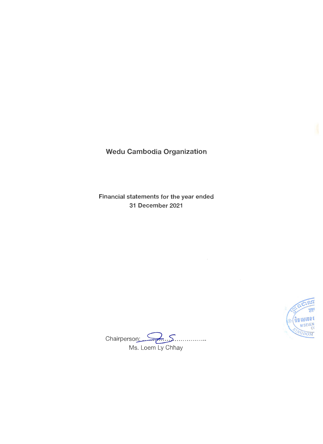Wedu Cambodia Organization

Financial statements for the year ended 31 December 2021



Chairperson: <u>Communistic Summundum</u><br>Ms. Loem Ly Chhay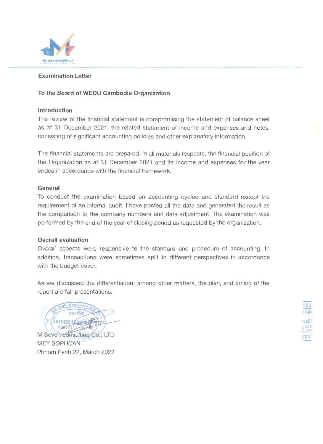

## **Examination Letter**

## **To the Board of WEDU Cambodia Organization**

### **Introduction**

The review of the financial statement is compromising the statement of balance sheet as at 31 December 2021, the related statement of income and expenses and notes, consisting of significant accounting policies and other explanatory information.

The financial statements are prepared, in all materials respects, the financial position of the Organization as at 31 December 2021 and its income and expenses for the year ended in accordance with the financial framework.

### **General**

To conduct the examination based on accounting cycled and standard except the requirement of an internal audit. I have posted all the data and generated the result as the comparison to the company numbers and data adjustment. The examination was performed by the end of the year of closing period as requested by the organization.

### **Overall evaluation**

Overall aspects were responsive to the standard and procedure of accounting. In addition, transactions were sometimes split in different perspectives in accordance with the budget cover.

As we discussed the differentiation, among other matters, the plan, and timing of the report are fair presentations.

2002 95 15  $*\in$  (  $\frac{1}{2}$  ) is is is a grape of M SEVEN CONSILL M Seven consulting Co., LTD MEY SOPHOAN Phnom Penh 22, March 2022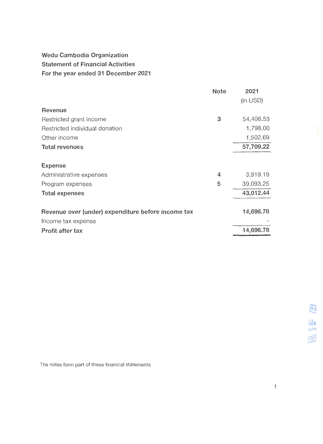# Wedu Cambodia Organization Statement of Financial Activities For the year ended 31 December 2021

|                                                    | <b>Note</b> | 2021      |
|----------------------------------------------------|-------------|-----------|
|                                                    |             | (in USD)  |
| <b>Revenue</b>                                     |             |           |
| Restricted grant income                            | 3           | 54,408.53 |
| Restricted individual donation                     |             | 1,798.00  |
| Other income                                       |             | 1,502.69  |
| <b>Total revenues</b>                              |             | 57,709.22 |
| <b>Expense</b>                                     |             |           |
| Administrative expenses                            | 4           | 3,919.19  |
| Program expenses                                   | 5           | 39,093.25 |
| <b>Total expenses</b>                              |             | 43,012.44 |
| Revenue over (under) expenditure before income tax |             | 14,696.78 |
| Income tax expense                                 |             |           |
| Profit after tax                                   |             | 14,696.78 |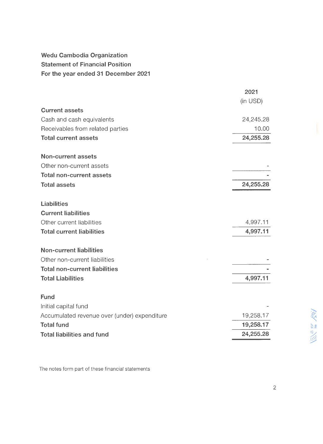Wedu Cambodia Organization Statement of Financial Position For the year ended 31 December 2021

|                                              | 2021      |                                |
|----------------------------------------------|-----------|--------------------------------|
|                                              | (in USD)  |                                |
| <b>Current assets</b>                        |           |                                |
| Cash and cash equivalents                    | 24,245.28 |                                |
| Receivables from related parties             | 10.00     |                                |
| <b>Total current assets</b>                  | 24,255.28 |                                |
| <b>Non-current assets</b>                    |           |                                |
| Other non-current assets                     |           |                                |
| <b>Total non-current assets</b>              |           |                                |
| <b>Total assets</b>                          | 24,255.28 |                                |
| <b>Liabilities</b>                           |           |                                |
| <b>Current liabilities</b>                   |           |                                |
| Other current liabilities                    | 4,997.11  |                                |
| <b>Total current liabilities</b>             | 4,997.11  |                                |
| <b>Non-current liabilities</b>               |           |                                |
| Other non-current liabilities                |           |                                |
| <b>Total non-current liabilities</b>         |           |                                |
| <b>Total Liabilities</b>                     | 4,997.11  |                                |
| <b>Fund</b>                                  |           |                                |
| Initial capital fund                         |           |                                |
| Accumulated revenue over (under) expenditure | 19,258.17 |                                |
| <b>Total fund</b>                            | 19,258.17 |                                |
| <b>Total liabilities and fund</b>            | 24,255.28 | IG,<br>$\widehat{\mathcal{O}}$ |
|                                              |           |                                |

The notes form part of these financial statements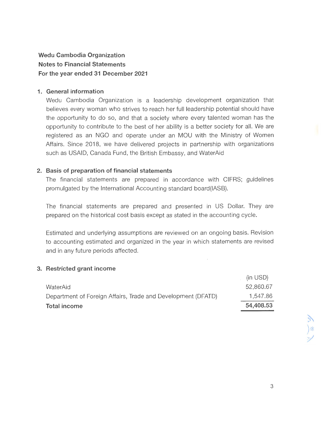## **Wedu Cambodia Organization Notes to Financial Statements For the year ended 31 December 2021**

## **1. General information**

Wedu Cambodia Organization is a leadership development organization that believes every woman who strives to reach her full leadership potential should have the opportunity to do so, and that a society where every talented woman has the opportunity to contribute to the best of her ability is a better society for all. We are registered as an NGO and operate under an MOU with the Ministry of Women Affairs. Since 2018, we have delivered projects in partnership with organizations such as USAID, Canada Fund, the British Embassy, and WaterAid

## **2. Basis of preparation of financial statements**

The financial statements are prepared in accordance with CIFRS; guidelines promulgated by the International Accounting standard board(IASB).

The financial statements are prepared and presented in US Dollar. They are prepared on the historical cost basis except as stated in the accounting cycle.

Estimated and underlying assumptions are reviewed on an ongoing basis. Revision to accounting estimated and organized in the year in which statements are revised and in any future periods affected.

## **3. Restricted grant income**

| <b>Total income</b>                                          | 54,408.53 |
|--------------------------------------------------------------|-----------|
| Department of Foreign Affairs, Trade and Development (DFATD) | 1,547.86  |
| WaterAid                                                     | 52,860.67 |
|                                                              | (in USD)  |